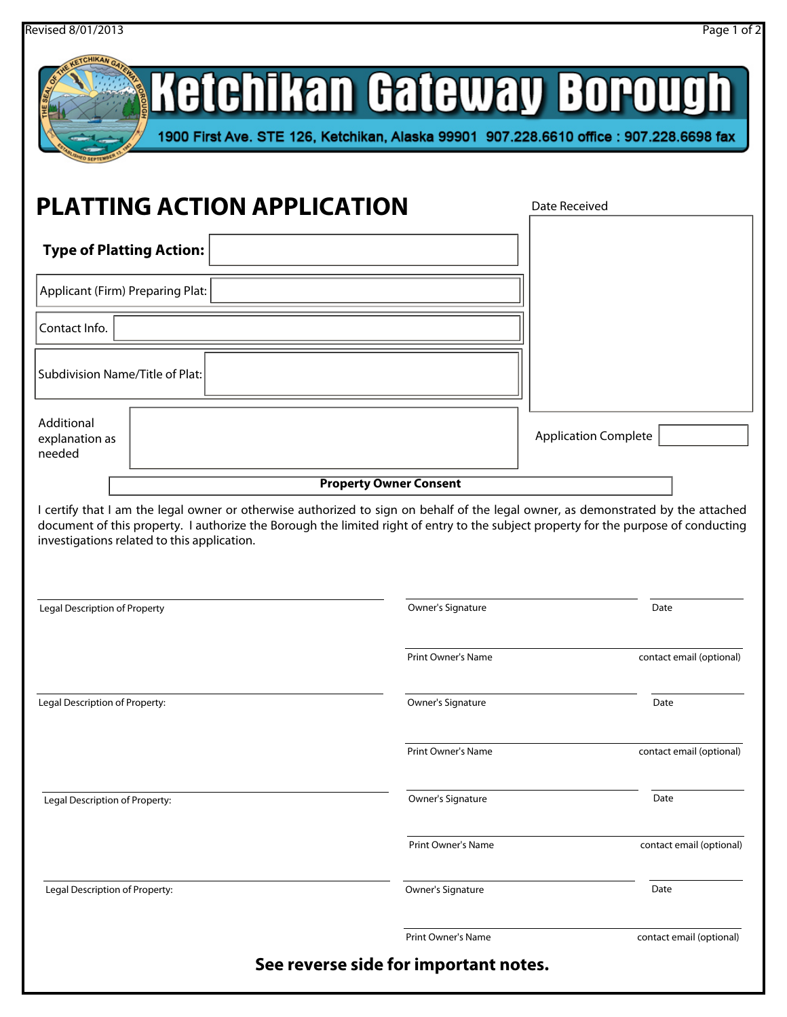|                                                                                                                                                                                                                                                                                                                                                                                                                                                                                 |                               | Ketchikan Gateway Borough<br>1900 First Ave. STE 126, Ketchikan, Alaska 99901 907.228.6610 office: 907.228.6698 fax |
|---------------------------------------------------------------------------------------------------------------------------------------------------------------------------------------------------------------------------------------------------------------------------------------------------------------------------------------------------------------------------------------------------------------------------------------------------------------------------------|-------------------------------|---------------------------------------------------------------------------------------------------------------------|
| <b>PLATTING ACTION APPLICATION</b>                                                                                                                                                                                                                                                                                                                                                                                                                                              |                               | Date Received                                                                                                       |
| <b>Type of Platting Action:</b>                                                                                                                                                                                                                                                                                                                                                                                                                                                 |                               |                                                                                                                     |
| Applicant (Firm) Preparing Plat:                                                                                                                                                                                                                                                                                                                                                                                                                                                |                               |                                                                                                                     |
| Contact Info.                                                                                                                                                                                                                                                                                                                                                                                                                                                                   |                               |                                                                                                                     |
| Subdivision Name/Title of Plat:                                                                                                                                                                                                                                                                                                                                                                                                                                                 |                               |                                                                                                                     |
| Additional<br>explanation as                                                                                                                                                                                                                                                                                                                                                                                                                                                    |                               | <b>Application Complete</b>                                                                                         |
|                                                                                                                                                                                                                                                                                                                                                                                                                                                                                 | <b>Property Owner Consent</b> |                                                                                                                     |
|                                                                                                                                                                                                                                                                                                                                                                                                                                                                                 | Owner's Signature             | Date                                                                                                                |
|                                                                                                                                                                                                                                                                                                                                                                                                                                                                                 | <b>Print Owner's Name</b>     | contact email (optional)                                                                                            |
|                                                                                                                                                                                                                                                                                                                                                                                                                                                                                 | Owner's Signature             | Date                                                                                                                |
|                                                                                                                                                                                                                                                                                                                                                                                                                                                                                 | <b>Print Owner's Name</b>     | contact email (optional)                                                                                            |
|                                                                                                                                                                                                                                                                                                                                                                                                                                                                                 | Owner's Signature             | Date                                                                                                                |
|                                                                                                                                                                                                                                                                                                                                                                                                                                                                                 | <b>Print Owner's Name</b>     | contact email (optional)                                                                                            |
| needed<br>I certify that I am the legal owner or otherwise authorized to sign on behalf of the legal owner, as demonstrated by the attached<br>document of this property. I authorize the Borough the limited right of entry to the subject property for the purpose of conducting<br>investigations related to this application.<br><b>Legal Description of Property</b><br>Legal Description of Property:<br>Legal Description of Property:<br>Legal Description of Property: | Owner's Signature             | Date                                                                                                                |